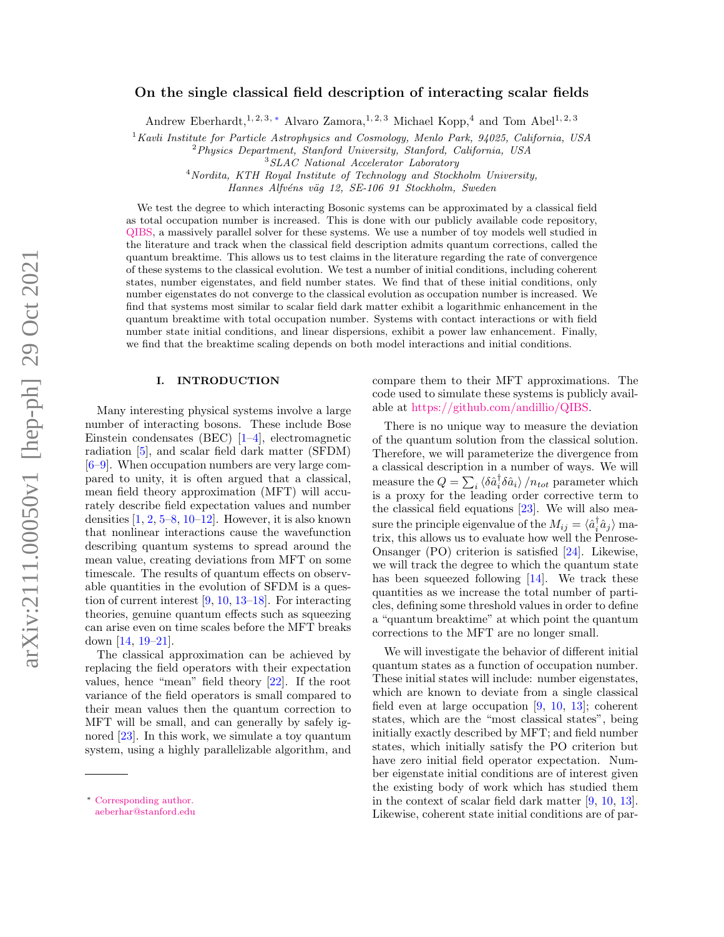# On the single classical field description of interacting scalar fields

Andrew Eberhardt,<sup>1, 2, 3, [∗](#page-0-0)</sup> Alvaro Zamora,<sup>1, 2, 3</sup> Michael Kopp,<sup>4</sup> and Tom Abel<sup>1, 2, 3</sup>

 $1$ Kavli Institute for Particle Astrophysics and Cosmology, Menlo Park, 94025, California, USA

<sup>2</sup>Physics Department, Stanford University, Stanford, California, USA

<sup>4</sup> Nordita, KTH Royal Institute of Technology and Stockholm University,

Hannes Alfvéns väg 12, SE-106 91 Stockholm, Sweden

We test the degree to which interacting Bosonic systems can be approximated by a classical field as total occupation number is increased. This is done with our publicly available code repository, [QIBS,](https://github.com/andillio/QIBS) a massively parallel solver for these systems. We use a number of toy models well studied in the literature and track when the classical field description admits quantum corrections, called the quantum breaktime. This allows us to test claims in the literature regarding the rate of convergence of these systems to the classical evolution. We test a number of initial conditions, including coherent states, number eigenstates, and field number states. We find that of these initial conditions, only number eigenstates do not converge to the classical evolution as occupation number is increased. We find that systems most similar to scalar field dark matter exhibit a logarithmic enhancement in the quantum breaktime with total occupation number. Systems with contact interactions or with field number state initial conditions, and linear dispersions, exhibit a power law enhancement. Finally, we find that the breaktime scaling depends on both model interactions and initial conditions.

### I. INTRODUCTION

Many interesting physical systems involve a large number of interacting bosons. These include Bose Einstein condensates (BEC) [\[1–](#page-14-0)[4\]](#page-14-1), electromagnetic radiation [\[5\]](#page-14-2), and scalar field dark matter (SFDM) [\[6–](#page-14-3)[9\]](#page-14-4). When occupation numbers are very large compared to unity, it is often argued that a classical, mean field theory approximation (MFT) will accurately describe field expectation values and number densities  $[1, 2, 5-8, 10-12]$  $[1, 2, 5-8, 10-12]$  $[1, 2, 5-8, 10-12]$  $[1, 2, 5-8, 10-12]$  $[1, 2, 5-8, 10-12]$  $[1, 2, 5-8, 10-12]$  $[1, 2, 5-8, 10-12]$ . However, it is also known that nonlinear interactions cause the wavefunction describing quantum systems to spread around the mean value, creating deviations from MFT on some timescale. The results of quantum effects on observable quantities in the evolution of SFDM is a question of current interest [\[9,](#page-14-4) [10,](#page-14-7) [13–](#page-14-9)[18\]](#page-15-0). For interacting theories, genuine quantum effects such as squeezing can arise even on time scales before the MFT breaks down [\[14,](#page-14-10) [19](#page-15-1)[–21\]](#page-15-2).

The classical approximation can be achieved by replacing the field operators with their expectation values, hence "mean" field theory [\[22\]](#page-15-3). If the root variance of the field operators is small compared to their mean values then the quantum correction to MFT will be small, and can generally by safely ignored [\[23\]](#page-15-4). In this work, we simulate a toy quantum system, using a highly parallelizable algorithm, and compare them to their MFT approximations. The code used to simulate these systems is publicly available at [https://github.com/andillio/QIBS.](https://github.com/andillio/QIBS)

There is no unique way to measure the deviation of the quantum solution from the classical solution. Therefore, we will parameterize the divergence from a classical description in a number of ways. We will measure the  $Q = \sum_i \langle \delta \hat{a}_i^{\dagger} \delta \hat{a}_i \rangle / n_{tot}$  parameter which is a proxy for the leading order corrective term to the classical field equations [\[23\]](#page-15-4). We will also measure the principle eigenvalue of the  $M_{ij} = \langle \hat{a}_i^{\dagger} \hat{a}_j \rangle$  matrix, this allows us to evaluate how well the Penrose-Onsanger (PO) criterion is satisfied [\[24\]](#page-15-5). Likewise, we will track the degree to which the quantum state has been squeezed following [\[14\]](#page-14-10). We track these quantities as we increase the total number of particles, defining some threshold values in order to define a "quantum breaktime" at which point the quantum corrections to the MFT are no longer small.

We will investigate the behavior of different initial quantum states as a function of occupation number. These initial states will include: number eigenstates, which are known to deviate from a single classical field even at large occupation [\[9,](#page-14-4) [10,](#page-14-7) [13\]](#page-14-9); coherent states, which are the "most classical states", being initially exactly described by MFT; and field number states, which initially satisfy the PO criterion but have zero initial field operator expectation. Number eigenstate initial conditions are of interest given the existing body of work which has studied them in the context of scalar field dark matter [\[9,](#page-14-4) [10,](#page-14-7) [13\]](#page-14-9). Likewise, coherent state initial conditions are of par-

<sup>3</sup>SLAC National Accelerator Laboratory

<span id="page-0-0"></span><sup>∗</sup> [Corresponding author.](mailto:Corresponding author. \ aeberhar@stanford.edu) [aeberhar@stanford.edu](mailto:Corresponding author. \ aeberhar@stanford.edu)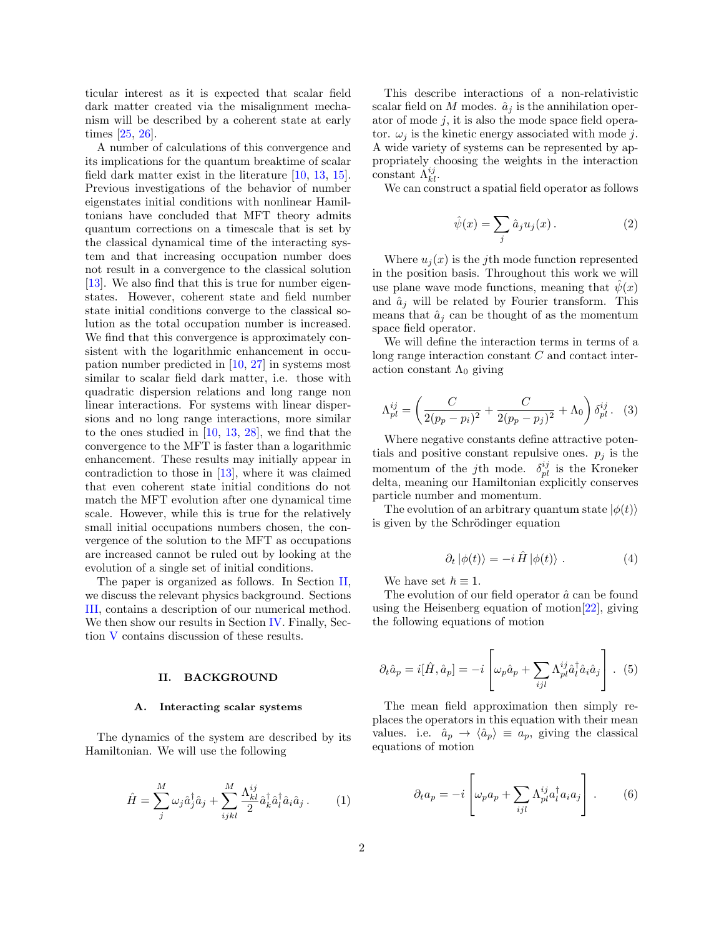ticular interest as it is expected that scalar field dark matter created via the misalignment mechanism will be described by a coherent state at early times [\[25,](#page-15-6) [26\]](#page-15-7).

A number of calculations of this convergence and its implications for the quantum breaktime of scalar field dark matter exist in the literature [\[10,](#page-14-7) [13,](#page-14-9) [15\]](#page-14-11). Previous investigations of the behavior of number eigenstates initial conditions with nonlinear Hamiltonians have concluded that MFT theory admits quantum corrections on a timescale that is set by the classical dynamical time of the interacting system and that increasing occupation number does not result in a convergence to the classical solution [\[13\]](#page-14-9). We also find that this is true for number eigenstates. However, coherent state and field number state initial conditions converge to the classical solution as the total occupation number is increased. We find that this convergence is approximately consistent with the logarithmic enhancement in occupation number predicted in [\[10,](#page-14-7) [27\]](#page-15-8) in systems most similar to scalar field dark matter, i.e. those with quadratic dispersion relations and long range non linear interactions. For systems with linear dispersions and no long range interactions, more similar to the ones studied in [\[10,](#page-14-7) [13,](#page-14-9) [28\]](#page-15-9), we find that the convergence to the MFT is faster than a logarithmic enhancement. These results may initially appear in contradiction to those in [\[13\]](#page-14-9), where it was claimed that even coherent state initial conditions do not match the MFT evolution after one dynamical time scale. However, while this is true for the relatively small initial occupations numbers chosen, the convergence of the solution to the MFT as occupations are increased cannot be ruled out by looking at the evolution of a single set of initial conditions.

The paper is organized as follows. In Section [II,](#page-1-0) we discuss the relevant physics background. Sections [III,](#page-4-0) contains a description of our numerical method. We then show our results in Section [IV.](#page-6-0) Finally, Section [V](#page-10-0) contains discussion of these results.

### <span id="page-1-0"></span>II. BACKGROUND

### A. Interacting scalar systems

The dynamics of the system are described by its Hamiltonian. We will use the following

<span id="page-1-3"></span>
$$
\hat{H} = \sum_{j}^{M} \omega_j \hat{a}_j^{\dagger} \hat{a}_j + \sum_{ijkl}^{M} \frac{\Lambda_{kl}^{ij}}{2} \hat{a}_k^{\dagger} \hat{a}_l^{\dagger} \hat{a}_i \hat{a}_j.
$$
 (1)

This describe interactions of a non-relativistic scalar field on M modes.  $\hat{a}_j$  is the annihilation operator of mode  $j$ , it is also the mode space field operator.  $\omega_i$  is the kinetic energy associated with mode j. A wide variety of systems can be represented by appropriately choosing the weights in the interaction constant  $\check{\Lambda}_{kl}^{ij}$ .

We can construct a spatial field operator as follows

$$
\hat{\psi}(x) = \sum_{j} \hat{a}_j u_j(x).
$$
 (2)

Where  $u_j(x)$  is the j<sup>th</sup> mode function represented in the position basis. Throughout this work we will use plane wave mode functions, meaning that  $\hat{\psi}(x)$ and  $\hat{a}_i$  will be related by Fourier transform. This means that  $\hat{a}_j$  can be thought of as the momentum space field operator.

We will define the interaction terms in terms of a long range interaction constant C and contact interaction constant  $\Lambda_0$  giving

$$
\Lambda_{pl}^{ij} = \left(\frac{C}{2(p_p - p_i)^2} + \frac{C}{2(p_p - p_j)^2} + \Lambda_0\right) \delta_{pl}^{ij}.
$$
 (3)

Where negative constants define attractive potentials and positive constant repulsive ones.  $p_j$  is the momentum of the *j*th mode.  $\delta_{pl}^{ij}$  is the Kroneker delta, meaning our Hamiltonian explicitly conserves particle number and momentum.

The evolution of an arbitrary quantum state  $|\phi(t)\rangle$ is given by the Schrödinger equation

<span id="page-1-2"></span>
$$
\partial_t |\phi(t)\rangle = -i \hat{H} |\phi(t)\rangle . \tag{4}
$$

We have set  $\hbar \equiv 1$ .

The evolution of our field operator  $\hat{a}$  can be found using the Heisenberg equation of motion[\[22\]](#page-15-3), giving the following equations of motion

$$
\partial_t \hat{a}_p = i[\hat{H}, \hat{a}_p] = -i \left[ \omega_p \hat{a}_p + \sum_{ijl} \Lambda_{pl}^{ij} \hat{a}_l^{\dagger} \hat{a}_i \hat{a}_j \right].
$$
 (5)

The mean field approximation then simply replaces the operators in this equation with their mean values. i.e.  $\hat{a}_p \rightarrow \langle \hat{a}_p \rangle \equiv a_p$ , giving the classical equations of motion

<span id="page-1-1"></span>
$$
\partial_t a_p = -i \left[ \omega_p a_p + \sum_{ijl} \Lambda_{pl}^{ij} a_l^{\dagger} a_i a_j \right]. \tag{6}
$$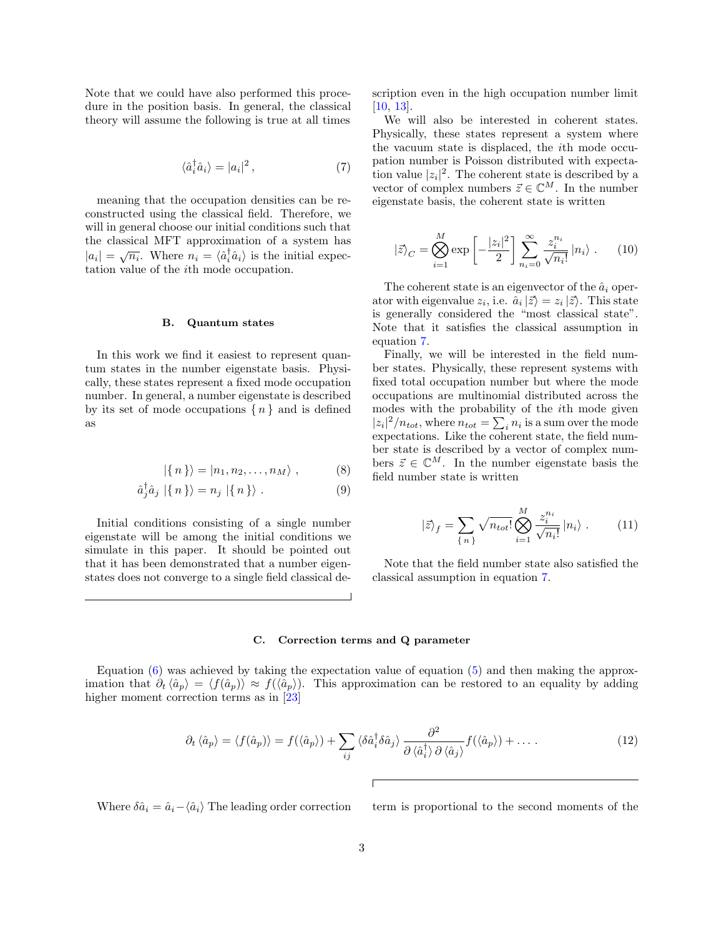Note that we could have also performed this procedure in the position basis. In general, the classical theory will assume the following is true at all times

$$
\langle \hat{a}_i^{\dagger} \hat{a}_i \rangle = |a_i|^2 \,, \tag{7}
$$

meaning that the occupation densities can be reconstructed using the classical field. Therefore, we will in general choose our initial conditions such that the classical MFT approximation of a system has  $|a_i| = \sqrt{n_i}$ . Where  $n_i = \langle \hat{a}_i^{\dagger} \hat{a}_i \rangle$  is the initial expectation value of the ith mode occupation.

# B. Quantum states

In this work we find it easiest to represent quantum states in the number eigenstate basis. Physically, these states represent a fixed mode occupation number. In general, a number eigenstate is described by its set of mode occupations  $\{n\}$  and is defined as

$$
|\{n\}\rangle = |n_1, n_2, \dots, n_M\rangle , \qquad (8)
$$

$$
\hat{a}_j^{\dagger} \hat{a}_j \mid \{n\} \rangle = n_j \mid \{n\} \rangle . \tag{9}
$$

Initial conditions consisting of a single number eigenstate will be among the initial conditions we simulate in this paper. It should be pointed out that it has been demonstrated that a number eigenstates does not converge to a single field classical description even in the high occupation number limit [\[10,](#page-14-7) [13\]](#page-14-9).

<span id="page-2-0"></span>We will also be interested in coherent states. Physically, these states represent a system where the vacuum state is displaced, the ith mode occupation number is Poisson distributed with expectation value  $|z_i|^2$ . The coherent state is described by a vector of complex numbers  $\vec{z} \in \mathbb{C}^M$ . In the number eigenstate basis, the coherent state is written

<span id="page-2-2"></span>
$$
|\vec{z}\rangle_C = \bigotimes_{i=1}^M \exp\left[-\frac{|z_i|^2}{2}\right] \sum_{n_i=0}^\infty \frac{z_i^{n_i}}{\sqrt{n_i!}} |n_i\rangle . \qquad (10)
$$

The coherent state is an eigenvector of the  $\hat{a}_i$  operator with eigenvalue  $z_i$ , i.e.  $\hat{a}_i | \vec{z} \rangle = z_i | \vec{z} \rangle$ . This state is generally considered the "most classical state". Note that it satisfies the classical assumption in equation [7.](#page-2-0)

Finally, we will be interested in the field number states. Physically, these represent systems with fixed total occupation number but where the mode occupations are multinomial distributed across the modes with the probability of the ith mode given  $|z_i|^2/n_{tot}$ , where  $n_{tot} = \sum_i n_i$  is a sum over the mode expectations. Like the coherent state, the field number state is described by a vector of complex numbers  $\vec{z} \in \mathbb{C}^M$ . In the number eigenstate basis the field number state is written

<span id="page-2-3"></span>
$$
|\vec{z}\rangle_{f} = \sum_{\{n\}} \sqrt{n_{tot}!} \bigotimes_{i=1}^{M} \frac{z_{i}^{n_{i}}}{\sqrt{n_{i}!}} |n_{i}\rangle . \qquad (11)
$$

Note that the field number state also satisfied the classical assumption in equation [7.](#page-2-0)

### C. Correction terms and Q parameter

Equation  $(6)$  was achieved by taking the expectation value of equation  $(5)$  and then making the approximation that  $\partial_t \langle \hat{a}_p \rangle = \langle f(\hat{a}_p) \rangle \approx f(\langle \hat{a}_p \rangle)$ . This approximation can be restored to an equality by adding higher moment correction terms as in [\[23\]](#page-15-4)

$$
\partial_t \langle \hat{a}_p \rangle = \langle f(\hat{a}_p) \rangle = f(\langle \hat{a}_p \rangle) + \sum_{ij} \langle \delta \hat{a}_i^{\dagger} \delta \hat{a}_j \rangle \frac{\partial^2}{\partial \langle \hat{a}_i^{\dagger} \rangle \partial \langle \hat{a}_j \rangle} f(\langle \hat{a}_p \rangle) + \dots
$$
\n(12)

Where  $\delta \hat{a}_i = \hat{a}_i - \langle \hat{a}_i \rangle$  The leading order correction term is proportional to the second moments of the

<span id="page-2-1"></span> $\lceil$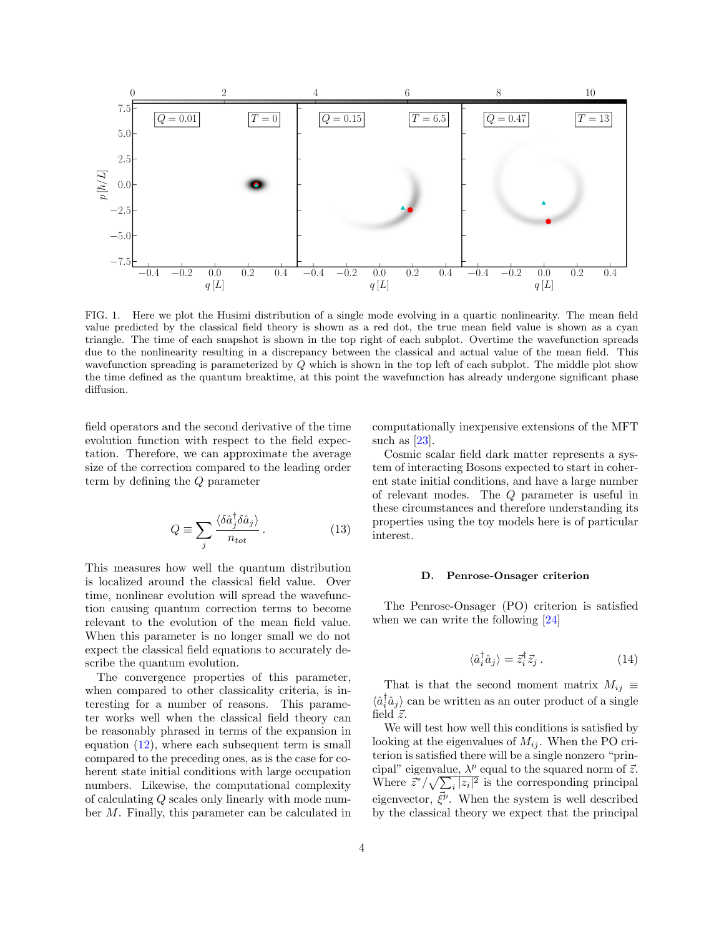

FIG. 1. Here we plot the Husimi distribution of a single mode evolving in a quartic nonlinearity. The mean field value predicted by the classical field theory is shown as a red dot, the true mean field value is shown as a cyan triangle. The time of each snapshot is shown in the top right of each subplot. Overtime the wavefunction spreads due to the nonlinearity resulting in a discrepancy between the classical and actual value of the mean field. This wavefunction spreading is parameterized by Q which is shown in the top left of each subplot. The middle plot show the time defined as the quantum breaktime, at this point the wavefunction has already undergone significant phase diffusion.

field operators and the second derivative of the time evolution function with respect to the field expectation. Therefore, we can approximate the average size of the correction compared to the leading order term by defining the Q parameter

$$
Q \equiv \sum_{j} \frac{\langle \delta \hat{a}_{j}^{\dagger} \delta \hat{a}_{j} \rangle}{n_{tot}} \,. \tag{13}
$$

This measures how well the quantum distribution is localized around the classical field value. Over time, nonlinear evolution will spread the wavefunction causing quantum correction terms to become relevant to the evolution of the mean field value. When this parameter is no longer small we do not expect the classical field equations to accurately describe the quantum evolution.

The convergence properties of this parameter, when compared to other classicality criteria, is interesting for a number of reasons. This parameter works well when the classical field theory can be reasonably phrased in terms of the expansion in equation  $(12)$ , where each subsequent term is small compared to the preceding ones, as is the case for coherent state initial conditions with large occupation numbers. Likewise, the computational complexity of calculating Q scales only linearly with mode number M. Finally, this parameter can be calculated in computationally inexpensive extensions of the MFT such as [\[23\]](#page-15-4).

Cosmic scalar field dark matter represents a system of interacting Bosons expected to start in coherent state initial conditions, and have a large number of relevant modes. The Q parameter is useful in these circumstances and therefore understanding its properties using the toy models here is of particular interest.

### D. Penrose-Onsager criterion

The Penrose-Onsager (PO) criterion is satisfied when we can write the following [\[24\]](#page-15-5)

$$
\langle \hat{a}_i^{\dagger} \hat{a}_j \rangle = \vec{z}_i^{\dagger} \vec{z}_j . \tag{14}
$$

That is that the second moment matrix  $M_{ij} \equiv$  $\langle \hat{a}_i^{\dagger} \hat{a}_j \rangle$  can be written as an outer product of a single field  $\vec{z}$ .

We will test how well this conditions is satisfied by looking at the eigenvalues of  $M_{ij}$ . When the PO criterion is satisfied there will be a single nonzero "principal" eigenvalue,  $\lambda^p$  equal to the squared norm of  $\vec{z}$ . Where  $\vec{z}^*/\sqrt{\sum_i |z_i|^2}$  is the corresponding principal eigenvector,  $\vec{\xi}^p$ . When the system is well described by the classical theory we expect that the principal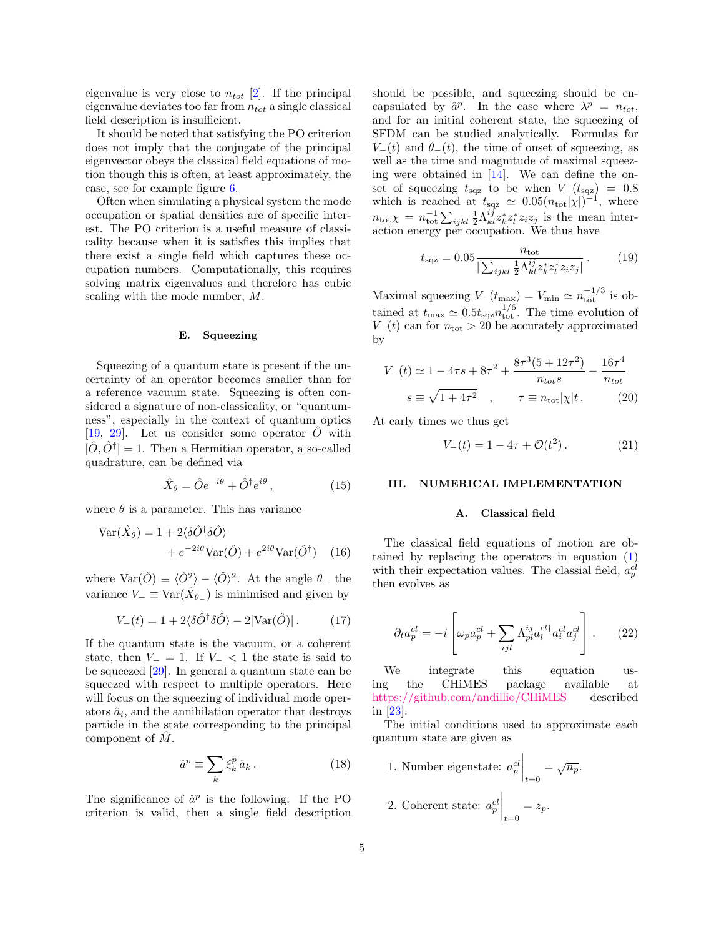eigenvalue is very close to  $n_{tot}$  [\[2\]](#page-14-5). If the principal eigenvalue deviates too far from  $n_{tot}$  a single classical field description is insufficient.

It should be noted that satisfying the PO criterion does not imply that the conjugate of the principal eigenvector obeys the classical field equations of motion though this is often, at least approximately, the case, see for example figure [6.](#page-11-0)

Often when simulating a physical system the mode occupation or spatial densities are of specific interest. The PO criterion is a useful measure of classicality because when it is satisfies this implies that there exist a single field which captures these occupation numbers. Computationally, this requires solving matrix eigenvalues and therefore has cubic scaling with the mode number, M.

#### <span id="page-4-2"></span>E. Squeezing

Squeezing of a quantum state is present if the uncertainty of an operator becomes smaller than for a reference vacuum state. Squeezing is often considered a signature of non-classicality, or "quantumness", especially in the context of quantum optics [\[19,](#page-15-1) [29\]](#page-15-10). Let us consider some operator  $O$  with  $[\hat{O}, \hat{O}^\dagger] = 1$ . Then a Hermitian operator, a so-called quadrature, can be defined via

$$
\hat{X}_{\theta} = \hat{O}e^{-i\theta} + \hat{O}^{\dagger}e^{i\theta},\tag{15}
$$

where  $\theta$  is a parameter. This has variance

$$
\begin{aligned} \text{Var}(\hat{X}_{\theta}) &= 1 + 2\langle \delta \hat{O}^{\dagger} \delta \hat{O} \rangle \\ &+ e^{-2i\theta} \text{Var}(\hat{O}) + e^{2i\theta} \text{Var}(\hat{O}^{\dagger}) \end{aligned} \tag{16}
$$

where  $\text{Var}(\hat{O}) \equiv \langle \hat{O}^2 \rangle - \langle \hat{O} \rangle^2$ . At the angle  $\theta_-$  the variance  $V_{-} \equiv \text{Var}(\hat{X}_{\theta_{-}})$  is minimised and given by

$$
V_{-}(t) = 1 + 2\langle \delta \hat{O}^{\dagger} \delta \hat{O} \rangle - 2|\text{Var}(\hat{O})|.
$$
 (17)

If the quantum state is the vacuum, or a coherent state, then  $V_$  = 1. If  $V_$  < 1 the state is said to be squeezed [\[29\]](#page-15-10). In general a quantum state can be squeezed with respect to multiple operators. Here will focus on the squeezing of individual mode operators  $\hat{a}_i$ , and the annihilation operator that destroys particle in the state corresponding to the principal component of  $M$ .

$$
\hat{a}^p \equiv \sum_k \xi_k^p \,\hat{a}_k \,. \tag{18}
$$

The significance of  $\hat{a}^p$  is the following. If the PO criterion is valid, then a single field description should be possible, and squeezing should be encapsulated by  $\hat{a}^p$ . In the case where  $\lambda^p = n_{tot}$ , and for an initial coherent state, the squeezing of SFDM can be studied analytically. Formulas for  $V_-(t)$  and  $\theta_-(t)$ , the time of onset of squeezing, as well as the time and magnitude of maximal squeezing were obtained in [\[14\]](#page-14-10). We can define the onset of squeezing  $t_{\text{sqz}}$  to be when  $V_-(t_{\text{sqz}}) = 0.8$ which is reached at  $t_{\text{sqz}} \simeq 0.05(n_{\text{tot}}|\chi|)^{-1}$ , where  $n_{\text{tot}}\chi = n_{\text{tot}}^{-1}\sum_{ijkl}\frac{1}{2}\Lambda_{kl}^{ij}z_k^*z_l^*z_iz_j$  is the mean interaction energy per occupation. We thus have

$$
t_{\text{sqz}} = 0.05 \frac{n_{\text{tot}}}{\left| \sum_{ijkl} \frac{1}{2} \Lambda_{kl}^{ij} z_k^* z_l^* z_i z_j \right|}. \tag{19}
$$

Maximal squeezing  $V_-(t_{\text{max}}) = V_{\text{min}} \simeq n_{\text{tot}}^{-1/3}$  is obtained at  $t_{\text{max}} \simeq 0.5 t_{\text{sqz}} n_{\text{tot}}^{1/6}$ . The time evolution of  $V_-(t)$  can for  $n_{\text{tot}} > 20$  be accurately approximated by

$$
V_{-}(t) \simeq 1 - 4\tau s + 8\tau^{2} + \frac{8\tau^{3}(5 + 12\tau^{2})}{n_{tot}s} - \frac{16\tau^{4}}{n_{tot}}
$$

$$
s \equiv \sqrt{1 + 4\tau^{2}} \quad , \qquad \tau \equiv n_{\text{tot}}|\chi|t. \tag{20}
$$

At early times we thus get

$$
V_{-}(t) = 1 - 4\tau + \mathcal{O}(t^2). \tag{21}
$$

### <span id="page-4-0"></span>III. NUMERICAL IMPLEMENTATION

### A. Classical field

The classical field equations of motion are obtained by replacing the operators in equation [\(1\)](#page-1-3) with their expectation values. The classial field,  $a_p^{cl}$ then evolves as

$$
\partial_t a_p^{cl} = -i \left[ \omega_p a_p^{cl} + \sum_{ijl} \Lambda_{pl}^{ij} a_l^{cl\dagger} a_i^{cl} a_j^{cl} \right].
$$
 (22)

We integrate this equation using the CHiMES package available at <https://github.com/andillio/CHiMES> described in [\[23\]](#page-15-4).

<span id="page-4-1"></span>The initial conditions used to approximate each quantum state are given as

\n- 1. Number eigenstate: 
$$
a_p^{cl} \bigg|_{t=0} = \sqrt{n_p}
$$
.
\n- 2. Coherent state:  $a_p^{cl} \bigg|_{t=0} = z_p$ .
\n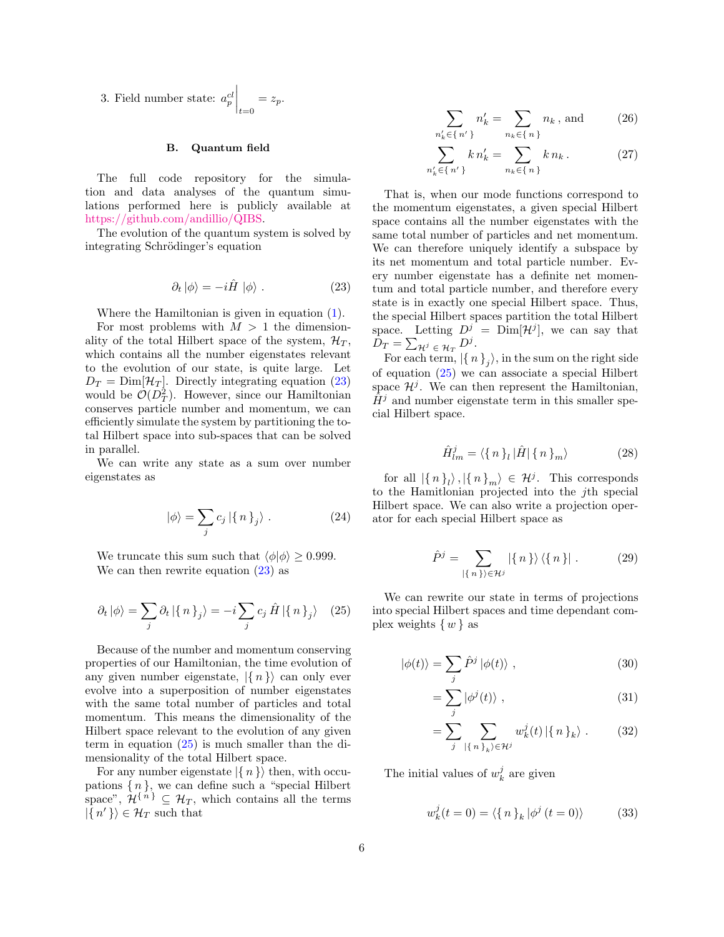3. Field number state:  $a_p^{cl}$   $t=0$  $=z_p$ .

# B. Quantum field

The full code repository for the simulation and data analyses of the quantum simulations performed here is publicly available at [https://github.com/andillio/QIBS.](https://github.com/andillio/QIBS)

The evolution of the quantum system is solved by integrating Schrödinger's equation

<span id="page-5-0"></span>
$$
\partial_t |\phi\rangle = -i\hat{H} |\phi\rangle . \qquad (23)
$$

Where the Hamiltonian is given in equation [\(1\)](#page-1-3).

For most problems with  $M > 1$  the dimensionality of the total Hilbert space of the system,  $\mathcal{H}_T$ , which contains all the number eigenstates relevant to the evolution of our state, is quite large. Let  $D_T = \text{Dim}[\mathcal{H}_T]$ . Directly integrating equation [\(23\)](#page-5-0) would be  $\mathcal{O}(D_T^2)$ . However, since our Hamiltonian conserves particle number and momentum, we can efficiently simulate the system by partitioning the total Hilbert space into sub-spaces that can be solved in parallel.

We can write any state as a sum over number eigenstates as

$$
|\phi\rangle = \sum_{j} c_j | \{n\}_j \rangle . \tag{24}
$$

We truncate this sum such that  $\langle \phi | \phi \rangle \ge 0.999$ . We can then rewrite equation  $(23)$  as

<span id="page-5-1"></span>
$$
\partial_t |\phi\rangle = \sum_j \partial_t |\{n\}_j\rangle = -i \sum_j c_j \hat{H} |\{n\}_j\rangle \quad (25)
$$

Because of the number and momentum conserving properties of our Hamiltonian, the time evolution of any given number eigenstate,  $\{n\}$  can only ever evolve into a superposition of number eigenstates with the same total number of particles and total momentum. This means the dimensionality of the Hilbert space relevant to the evolution of any given term in equation  $(25)$  is much smaller than the dimensionality of the total Hilbert space.

For any number eigenstate  $\{n\}$  then, with occupations  $\{n\}$ , we can define such a "special Hilbert" space",  $\mathcal{H}^{\{n\}} \subseteq \mathcal{H}_T$ , which contains all the terms  $|\{n'\}\rangle \in \mathcal{H}_T$  such that

$$
\sum_{n'_{k} \in \{n'\}} n'_{k} = \sum_{n_{k} \in \{n\}} n_{k}, \text{ and } (26)
$$

$$
\sum_{n'_{k} \in \{n'\}} k n'_{k} = \sum_{n_{k} \in \{n\}} k n_{k}.
$$
 (27)

That is, when our mode functions correspond to the momentum eigenstates, a given special Hilbert space contains all the number eigenstates with the same total number of particles and net momentum. We can therefore uniquely identify a subspace by its net momentum and total particle number. Every number eigenstate has a definite net momentum and total particle number, and therefore every state is in exactly one special Hilbert space. Thus, the special Hilbert spaces partition the total Hilbert space. Letting  $D^j = \text{Dim}[\mathcal{H}^j]$ , we can say that  $D_T = \sum_{\mathcal{H}^j \in \mathcal{H}_T} D^j.$ 

For each term,  $|\{n\}\mathfrak{z}\rangle$ , in the sum on the right side of equation [\(25\)](#page-5-1) we can associate a special Hilbert space  $\mathcal{H}^j$ . We can then represent the Hamiltonian,  $H<sup>j</sup>$  and number eigenstate term in this smaller special Hilbert space.

$$
\hat{H}_{lm}^j = \langle \{ n \}_l | \hat{H} | \{ n \}_m \rangle \tag{28}
$$

for all  $|\{n\}_l\rangle, |\{n\}_m\rangle \in \mathcal{H}^j$ . This corresponds to the Hamitlonian projected into the jth special Hilbert space. We can also write a projection operator for each special Hilbert space as

$$
\hat{P}^j = \sum_{|\{n\}\rangle \in \mathcal{H}^j} |\{n\}\rangle \langle \{n\}|.
$$
 (29)

We can rewrite our state in terms of projections into special Hilbert spaces and time dependant complex weights  $\{w\}$  as

$$
|\phi(t)\rangle = \sum_{j} \hat{P}^{j} |\phi(t)\rangle , \qquad (30)
$$

$$
=\sum_{j}|\phi^{j}(t)\rangle ,\qquad (31)
$$

$$
= \sum_{j} \sum_{|\{n\}_k\rangle \in \mathcal{H}^j} w_k^j(t) |\{n\}_k\rangle . \tag{32}
$$

The initial values of  $w_k^j$  are given

$$
w_k^j(t=0) = \langle \{n\}_k | \phi^j(t=0) \rangle \tag{33}
$$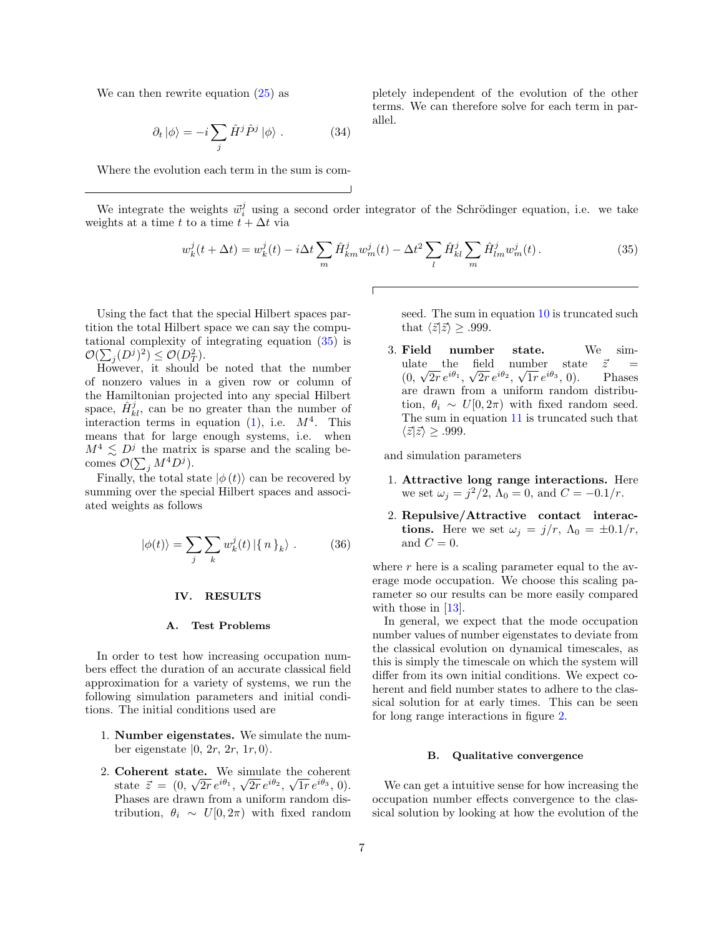We can then rewrite equation  $(25)$  as

$$
\partial_t |\phi\rangle = -i \sum_j \hat{H}^j \hat{P}^j |\phi\rangle . \tag{34}
$$

Where the evolution each term in the sum is com-

We integrate the weights  $\vec{w}_i^j$  using a second order integrator of the Schrödinger equation, i.e. we take weights at a time t to a time  $t + \Delta t$  via

 $\sqrt{2}$ 

<span id="page-6-1"></span>
$$
w_k^j(t + \Delta t) = w_k^j(t) - i\Delta t \sum_m \hat{H}_{km}^j w_m^j(t) - \Delta t^2 \sum_l \hat{H}_{kl}^j \sum_m \hat{H}_{lm}^j w_m^j(t).
$$
 (35)

Using the fact that the special Hilbert spaces partition the total Hilbert space we can say the computational complexity of integrating equation [\(35\)](#page-6-1) is  $\mathcal{O}(\sum_j (D^j)^2) \leq \mathcal{O}(D_T^2).$ 

However, it should be noted that the number of nonzero values in a given row or column of the Hamiltonian projected into any special Hilbert space,  $\hat{H}_{kl}^{j}$ , can be no greater than the number of interaction terms in equation [\(1\)](#page-1-3), i.e.  $M^4$ . This means that for large enough systems, i.e. when  $M^4 \lesssim D^j$  the matrix is sparse and the scaling becomes  $\mathcal{O}(\sum_j M^4 D^j)$ .

Finally, the total state  $|\phi(t)\rangle$  can be recovered by summing over the special Hilbert spaces and associated weights as follows

$$
|\phi(t)\rangle = \sum_{j} \sum_{k} w_k^{j}(t) | \{n\}_k\rangle . \tag{36}
$$

### <span id="page-6-0"></span>IV. RESULTS

### A. Test Problems

In order to test how increasing occupation numbers effect the duration of an accurate classical field approximation for a variety of systems, we run the following simulation parameters and initial conditions. The initial conditions used are

- 1. Number eigenstates. We simulate the number eigenstate  $|0, 2r, 2r, 1r, 0\rangle$ .
- 2. Coherent state. We simulate the coherent state  $\vec{z} = (0, \sqrt{2r} e^{i\theta_1}, \sqrt{2r} e^{i\theta_2}, \sqrt{1r} e^{i\theta_3}, 0)$ . Phases are drawn from a uniform random distribution,  $\theta_i \sim U[0, 2\pi)$  with fixed random

pletely independent of the evolution of the other terms. We can therefore solve for each term in parallel.

> seed. The sum in equation [10](#page-2-2) is truncated such that  $\langle \vec{z} | \vec{z} \rangle \ge .999$ .

3. Field number state. We simulate the field number state  $\vec{z}$  =  $(0, \sqrt{2r}e^{i\theta_1}, \sqrt{2r}e^{i\theta_2}, \sqrt{1r}e^{i\theta_3})$ , 0). Phases are drawn from a uniform random distribution,  $\theta_i \sim U[0, 2\pi)$  with fixed random seed. The sum in equation [11](#page-2-3) is truncated such that  $\langle \vec{z} | \vec{z} \rangle \ge .999.$ 

and simulation parameters

- 1. Attractive long range interactions. Here we set  $\omega_j = j^2/2$ ,  $\Lambda_0 = 0$ , and  $C = -0.1/r$ .
- 2. Repulsive/Attractive contact interactions. Here we set  $\omega_i = j/r$ ,  $\Lambda_0 = \pm 0.1/r$ , and  $C = 0$ .

where  $r$  here is a scaling parameter equal to the average mode occupation. We choose this scaling parameter so our results can be more easily compared with those in [\[13\]](#page-14-9).

In general, we expect that the mode occupation number values of number eigenstates to deviate from the classical evolution on dynamical timescales, as this is simply the timescale on which the system will differ from its own initial conditions. We expect coherent and field number states to adhere to the classical solution for at early times. This can be seen for long range interactions in figure [2.](#page-7-0)

# B. Qualitative convergence

We can get a intuitive sense for how increasing the occupation number effects convergence to the classical solution by looking at how the evolution of the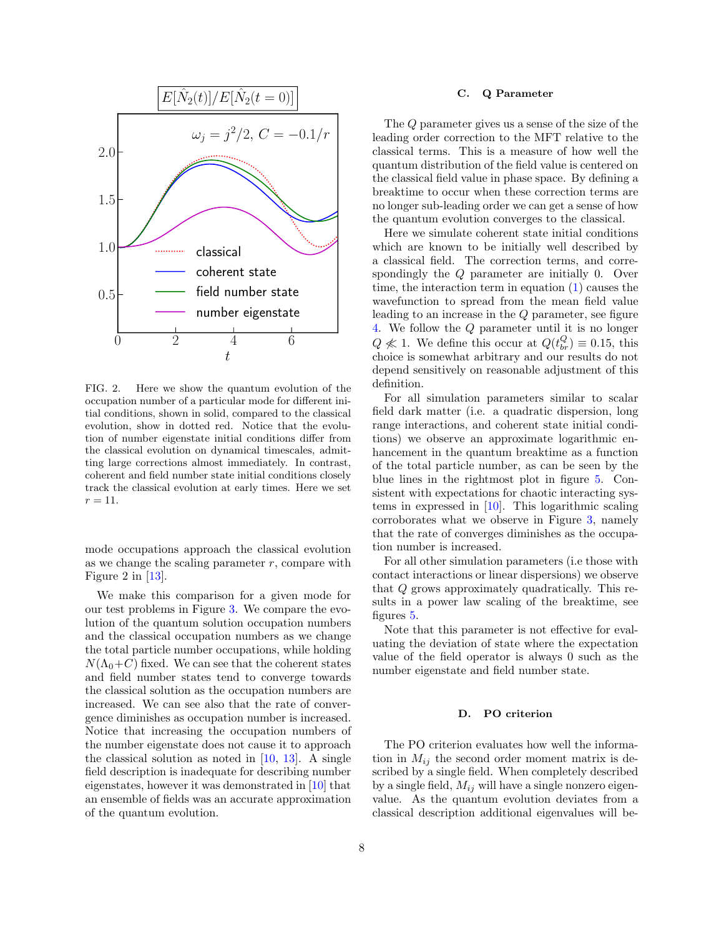

<span id="page-7-0"></span>FIG. 2. Here we show the quantum evolution of the occupation number of a particular mode for different initial conditions, shown in solid, compared to the classical evolution, show in dotted red. Notice that the evolution of number eigenstate initial conditions differ from the classical evolution on dynamical timescales, admitting large corrections almost immediately. In contrast, coherent and field number state initial conditions closely track the classical evolution at early times. Here we set  $r = 11.$ 

mode occupations approach the classical evolution as we change the scaling parameter  $r$ , compare with Figure 2 in [\[13\]](#page-14-9).

We make this comparison for a given mode for our test problems in Figure [3.](#page-8-0) We compare the evolution of the quantum solution occupation numbers and the classical occupation numbers as we change the total particle number occupations, while holding  $N(\Lambda_0+C)$  fixed. We can see that the coherent states and field number states tend to converge towards the classical solution as the occupation numbers are increased. We can see also that the rate of convergence diminishes as occupation number is increased. Notice that increasing the occupation numbers of the number eigenstate does not cause it to approach the classical solution as noted in  $[10, 13]$  $[10, 13]$  $[10, 13]$ . A single field description is inadequate for describing number eigenstates, however it was demonstrated in [\[10\]](#page-14-7) that an ensemble of fields was an accurate approximation of the quantum evolution.

### C. Q Parameter

The Q parameter gives us a sense of the size of the leading order correction to the MFT relative to the classical terms. This is a measure of how well the quantum distribution of the field value is centered on the classical field value in phase space. By defining a breaktime to occur when these correction terms are no longer sub-leading order we can get a sense of how the quantum evolution converges to the classical.

Here we simulate coherent state initial conditions which are known to be initially well described by a classical field. The correction terms, and correspondingly the Q parameter are initially 0. Over time, the interaction term in equation  $(1)$  causes the wavefunction to spread from the mean field value leading to an increase in the Q parameter, see figure [4.](#page-9-0) We follow the Q parameter until it is no longer  $Q \nless 1$ . We define this occur at  $Q(t_{br}^Q) \equiv 0.15$ , this choice is somewhat arbitrary and our results do not depend sensitively on reasonable adjustment of this definition.

For all simulation parameters similar to scalar field dark matter (i.e. a quadratic dispersion, long range interactions, and coherent state initial conditions) we observe an approximate logarithmic enhancement in the quantum breaktime as a function of the total particle number, as can be seen by the blue lines in the rightmost plot in figure [5.](#page-10-1) Consistent with expectations for chaotic interacting systems in expressed in [\[10\]](#page-14-7). This logarithmic scaling corroborates what we observe in Figure [3,](#page-8-0) namely that the rate of converges diminishes as the occupation number is increased.

For all other simulation parameters (i.e those with contact interactions or linear dispersions) we observe that Q grows approximately quadratically. This results in a power law scaling of the breaktime, see figures [5.](#page-10-1)

Note that this parameter is not effective for evaluating the deviation of state where the expectation value of the field operator is always 0 such as the number eigenstate and field number state.

### D. PO criterion

The PO criterion evaluates how well the information in  $M_{ij}$  the second order moment matrix is described by a single field. When completely described by a single field,  $M_{ij}$  will have a single nonzero eigenvalue. As the quantum evolution deviates from a classical description additional eigenvalues will be-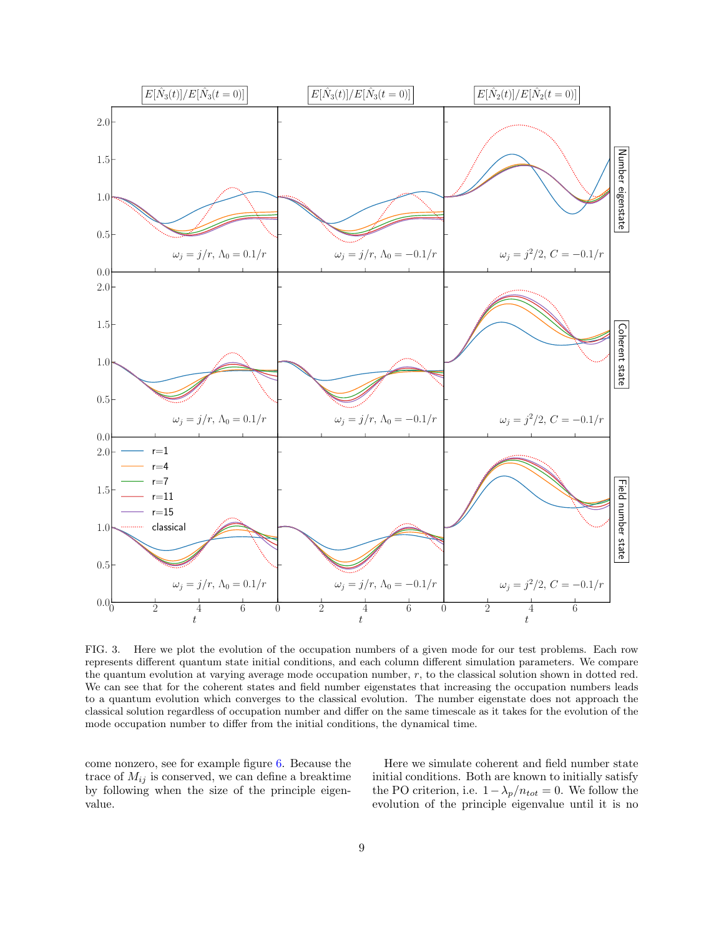

<span id="page-8-0"></span>FIG. 3. Here we plot the evolution of the occupation numbers of a given mode for our test problems. Each row represents different quantum state initial conditions, and each column different simulation parameters. We compare the quantum evolution at varying average mode occupation number, r, to the classical solution shown in dotted red. We can see that for the coherent states and field number eigenstates that increasing the occupation numbers leads to a quantum evolution which converges to the classical evolution. The number eigenstate does not approach the classical solution regardless of occupation number and differ on the same timescale as it takes for the evolution of the mode occupation number to differ from the initial conditions, the dynamical time.

come nonzero, see for example figure [6.](#page-11-0) Because the trace of  $M_{ij}$  is conserved, we can define a breaktime by following when the size of the principle eigenvalue.

Here we simulate coherent and field number state initial conditions. Both are known to initially satisfy the PO criterion, i.e.  $1-\lambda_p/n_{tot} = 0$ . We follow the evolution of the principle eigenvalue until it is no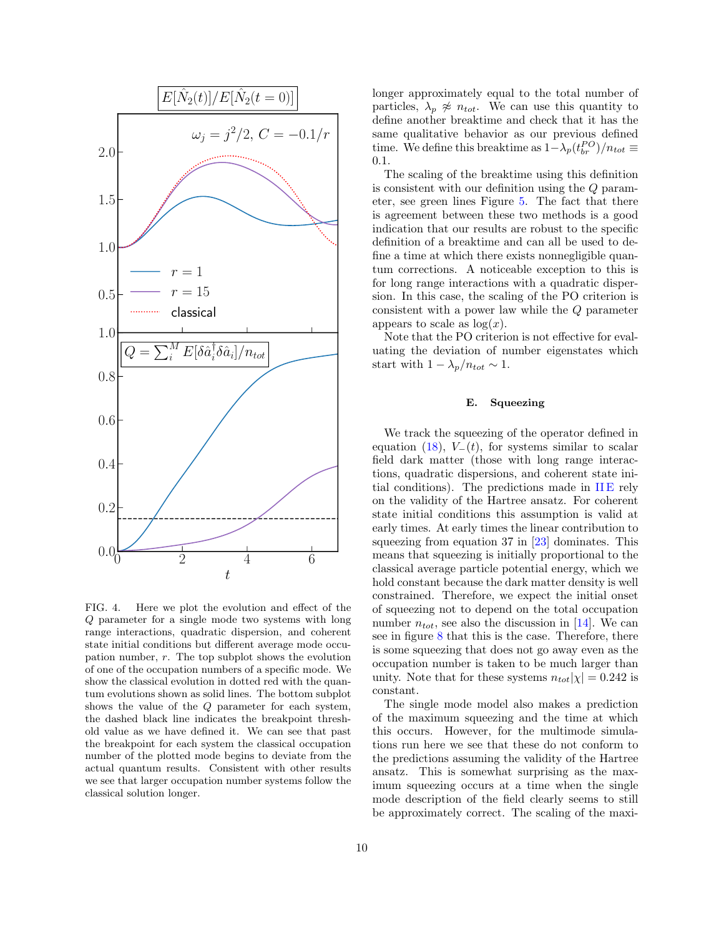

<span id="page-9-0"></span>FIG. 4. Here we plot the evolution and effect of the Q parameter for a single mode two systems with long range interactions, quadratic dispersion, and coherent state initial conditions but different average mode occupation number,  $r$ . The top subplot shows the evolution of one of the occupation numbers of a specific mode. We show the classical evolution in dotted red with the quantum evolutions shown as solid lines. The bottom subplot shows the value of the Q parameter for each system, the dashed black line indicates the breakpoint threshold value as we have defined it. We can see that past the breakpoint for each system the classical occupation number of the plotted mode begins to deviate from the actual quantum results. Consistent with other results we see that larger occupation number systems follow the classical solution longer.

longer approximately equal to the total number of particles,  $\lambda_p \not\approx n_{tot}$ . We can use this quantity to define another breaktime and check that it has the same qualitative behavior as our previous defined time. We define this breaktime as  $1 - \lambda_p (t_{br}^{PO})/n_{tot} \equiv$ 0.1.

The scaling of the breaktime using this definition is consistent with our definition using the Q parameter, see green lines Figure [5.](#page-10-1) The fact that there is agreement between these two methods is a good indication that our results are robust to the specific definition of a breaktime and can all be used to define a time at which there exists nonnegligible quantum corrections. A noticeable exception to this is for long range interactions with a quadratic dispersion. In this case, the scaling of the PO criterion is consistent with a power law while the Q parameter appears to scale as  $log(x)$ .

Note that the PO criterion is not effective for evaluating the deviation of number eigenstates which start with  $1 - \lambda_p/n_{tot} \sim 1$ .

# E. Squeezing

We track the squeezing of the operator defined in equation [\(18\)](#page-4-1),  $V_-(t)$ , for systems similar to scalar field dark matter (those with long range interactions, quadratic dispersions, and coherent state initial conditions). The predictions made in  $IIE$  rely on the validity of the Hartree ansatz. For coherent state initial conditions this assumption is valid at early times. At early times the linear contribution to squeezing from equation  $37$  in  $[23]$  dominates. This means that squeezing is initially proportional to the classical average particle potential energy, which we hold constant because the dark matter density is well constrained. Therefore, we expect the initial onset of squeezing not to depend on the total occupation number  $n_{tot}$ , see also the discussion in [\[14\]](#page-14-10). We can see in figure  $8$  that this is the case. Therefore, there is some squeezing that does not go away even as the occupation number is taken to be much larger than unity. Note that for these systems  $n_{tot}|\chi| = 0.242$  is constant.

The single mode model also makes a prediction of the maximum squeezing and the time at which this occurs. However, for the multimode simulations run here we see that these do not conform to the predictions assuming the validity of the Hartree ansatz. This is somewhat surprising as the maximum squeezing occurs at a time when the single mode description of the field clearly seems to still be approximately correct. The scaling of the maxi-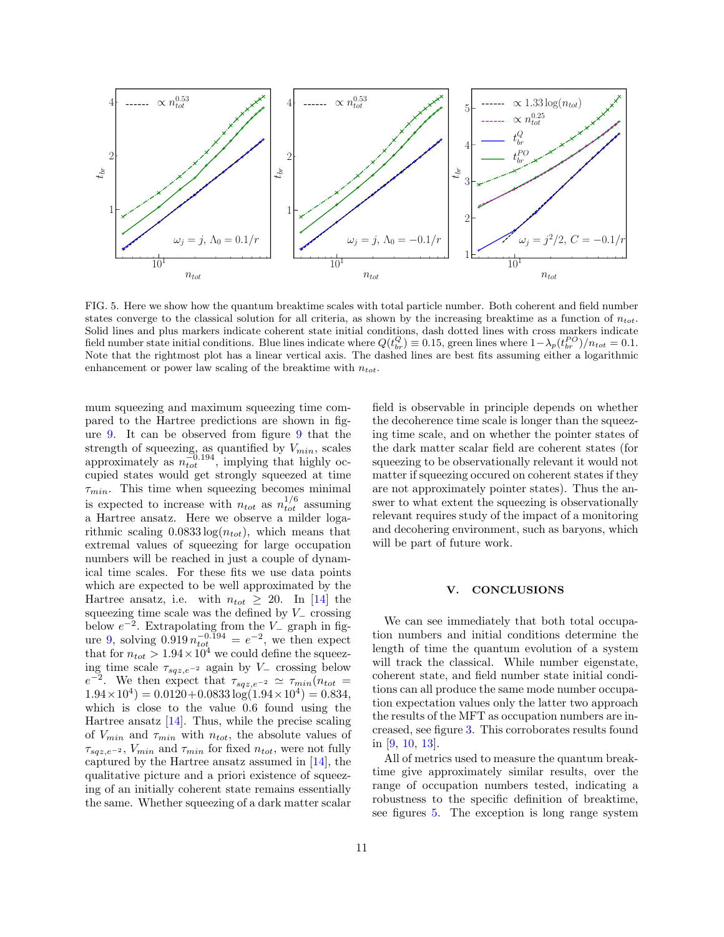

<span id="page-10-1"></span>FIG. 5. Here we show how the quantum breaktime scales with total particle number. Both coherent and field number states converge to the classical solution for all criteria, as shown by the increasing breaktime as a function of  $n_{tot}$ . Solid lines and plus markers indicate coherent state initial conditions, dash dotted lines with cross markers indicate field number state initial conditions. Blue lines indicate where  $Q(t_{br}^Q) \equiv 0.15$ , green lines where  $1 - \lambda_p(t_{br}^{PO})/n_{tot} = 0.1$ . Note that the rightmost plot has a linear vertical axis. The dashed lines are best fits assuming either a logarithmic enhancement or power law scaling of the breaktime with  $n_{tot}$ .

mum squeezing and maximum squeezing time compared to the Hartree predictions are shown in figure [9.](#page-12-1) It can be observed from figure [9](#page-12-1) that the strength of squeezing, as quantified by  $V_{min}$ , scales approximately as  $n_{tot}^{-0.194}$ , implying that highly occupied states would get strongly squeezed at time  $\tau_{min}$ . This time when squeezing becomes minimal is expected to increase with  $n_{tot}$  as  $n_{tot}^{1/6}$  assuming a Hartree ansatz. Here we observe a milder logarithmic scaling  $0.0833 \log(n_{tot})$ , which means that extremal values of squeezing for large occupation numbers will be reached in just a couple of dynamical time scales. For these fits we use data points which are expected to be well approximated by the Hartree ansatz, i.e. with  $n_{tot} \geq 20$ . In [\[14\]](#page-14-10) the squeezing time scale was the defined by  $V_$  crossing below  $e^{-2}$ . Extrapolating from the  $V_{-}$  graph in fig-ure [9,](#page-12-1) solving  $0.919 n_{tot}^{-0.194} = e^{-2}$ , we then expect that for  $n_{tot} > 1.94 \times 10^4$  we could define the squeezing time scale  $\tau_{sqz,e^{-2}}$  again by  $V_-\$  crossing below  $e^{-2}$ . We then expect that  $\tau_{sqz,e^{-2}} \simeq \tau_{min}(n_{tot} =$  $1.94 \times 10^4$  = 0.0120+0.0833 log( $1.94 \times 10^4$ ) = 0.834, which is close to the value 0.6 found using the Hartree ansatz [\[14\]](#page-14-10). Thus, while the precise scaling of  $V_{min}$  and  $\tau_{min}$  with  $n_{tot}$ , the absolute values of  $\tau_{sqz,e^{-2}}$ ,  $V_{min}$  and  $\tau_{min}$  for fixed  $n_{tot}$ , were not fully captured by the Hartree ansatz assumed in [\[14\]](#page-14-10), the qualitative picture and a priori existence of squeezing of an initially coherent state remains essentially the same. Whether squeezing of a dark matter scalar

<span id="page-10-0"></span>V. CONCLUSIONS We can see immediately that both total occupation numbers and initial conditions determine the length of time the quantum evolution of a system

will be part of future work.

will track the classical. While number eigenstate, coherent state, and field number state initial conditions can all produce the same mode number occupation expectation values only the latter two approach the results of the MFT as occupation numbers are increased, see figure [3.](#page-8-0) This corroborates results found in [\[9,](#page-14-4) [10,](#page-14-7) [13\]](#page-14-9).

field is observable in principle depends on whether the decoherence time scale is longer than the squeezing time scale, and on whether the pointer states of the dark matter scalar field are coherent states (for squeezing to be observationally relevant it would not matter if squeezing occured on coherent states if they are not approximately pointer states). Thus the answer to what extent the squeezing is observationally relevant requires study of the impact of a monitoring and decohering environment, such as baryons, which

All of metrics used to measure the quantum breaktime give approximately similar results, over the range of occupation numbers tested, indicating a robustness to the specific definition of breaktime, see figures [5.](#page-10-1) The exception is long range system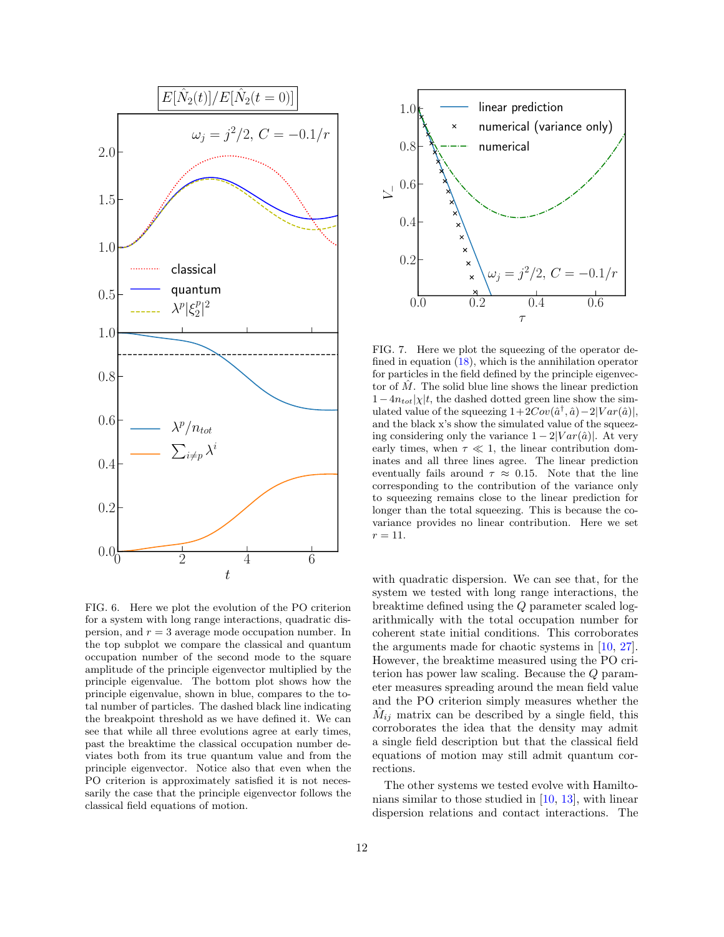

<span id="page-11-0"></span>FIG. 6. Here we plot the evolution of the PO criterion for a system with long range interactions, quadratic dispersion, and  $r = 3$  average mode occupation number. In the top subplot we compare the classical and quantum occupation number of the second mode to the square amplitude of the principle eigenvector multiplied by the principle eigenvalue. The bottom plot shows how the principle eigenvalue, shown in blue, compares to the total number of particles. The dashed black line indicating the breakpoint threshold as we have defined it. We can see that while all three evolutions agree at early times, past the breaktime the classical occupation number deviates both from its true quantum value and from the principle eigenvector. Notice also that even when the PO criterion is approximately satisfied it is not necessarily the case that the principle eigenvector follows the classical field equations of motion.



FIG. 7. Here we plot the squeezing of the operator defined in equation [\(18\)](#page-4-1), which is the annihilation operator for particles in the field defined by the principle eigenvector of  $M$ . The solid blue line shows the linear prediction  $1-4n_{tot}|\chi|t$ , the dashed dotted green line show the simulated value of the squeezing  $1+2Cov(\hat{a}^{\dagger}, \hat{a})-2|Var(\hat{a})|$ , and the black x's show the simulated value of the squeezing considering only the variance  $1 - 2|Var(\hat{a})|$ . At very early times, when  $\tau \ll 1$ , the linear contribution dominates and all three lines agree. The linear prediction eventually fails around  $\tau \approx 0.15$ . Note that the line corresponding to the contribution of the variance only to squeezing remains close to the linear prediction for longer than the total squeezing. This is because the covariance provides no linear contribution. Here we set  $r = 11.$ 

with quadratic dispersion. We can see that, for the system we tested with long range interactions, the breaktime defined using the Q parameter scaled logarithmically with the total occupation number for coherent state initial conditions. This corroborates the arguments made for chaotic systems in [\[10,](#page-14-7) [27\]](#page-15-8). However, the breaktime measured using the PO criterion has power law scaling. Because the Q parameter measures spreading around the mean field value and the PO criterion simply measures whether the  $\hat{M}_{ij}$  matrix can be described by a single field, this corroborates the idea that the density may admit a single field description but that the classical field equations of motion may still admit quantum corrections.

The other systems we tested evolve with Hamiltonians similar to those studied in [\[10,](#page-14-7) [13\]](#page-14-9), with linear dispersion relations and contact interactions. The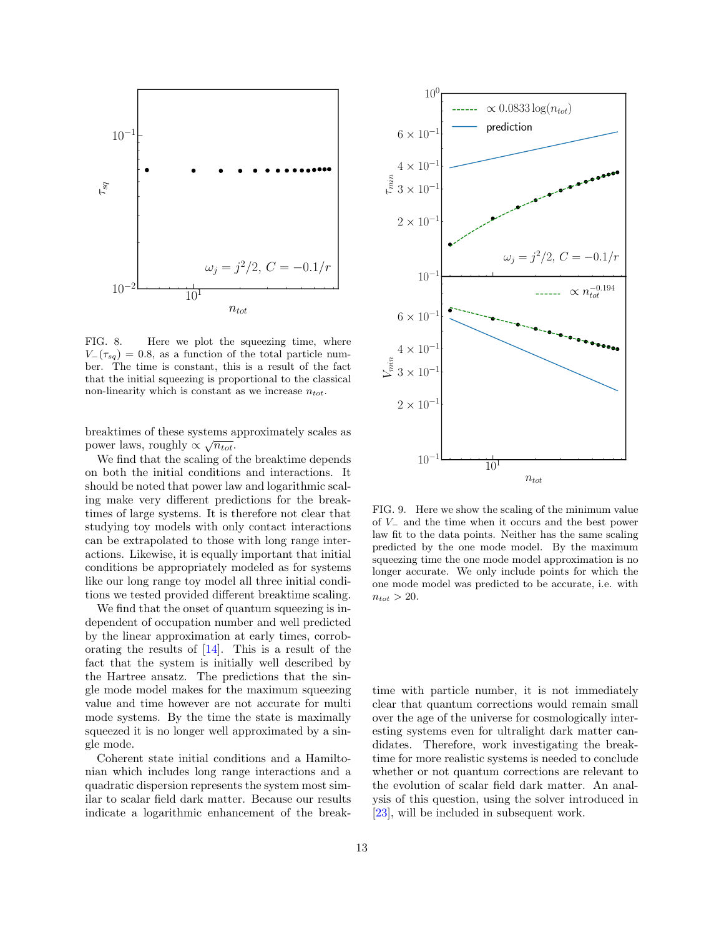

<span id="page-12-0"></span>FIG. 8. Here we plot the squeezing time, where  $V_-(\tau_{sq}) = 0.8$ , as a function of the total particle number. The time is constant, this is a result of the fact that the initial squeezing is proportional to the classical non-linearity which is constant as we increase  $n_{tot}$ .

breaktimes of these systems approximately scales as power laws, roughly  $\propto \sqrt{n_{tot}}$ .

We find that the scaling of the breaktime depends on both the initial conditions and interactions. It should be noted that power law and logarithmic scaling make very different predictions for the breaktimes of large systems. It is therefore not clear that studying toy models with only contact interactions can be extrapolated to those with long range interactions. Likewise, it is equally important that initial conditions be appropriately modeled as for systems like our long range toy model all three initial conditions we tested provided different breaktime scaling.

We find that the onset of quantum squeezing is independent of occupation number and well predicted by the linear approximation at early times, corroborating the results of [\[14\]](#page-14-10). This is a result of the fact that the system is initially well described by the Hartree ansatz. The predictions that the single mode model makes for the maximum squeezing value and time however are not accurate for multi mode systems. By the time the state is maximally squeezed it is no longer well approximated by a single mode.

Coherent state initial conditions and a Hamiltonian which includes long range interactions and a quadratic dispersion represents the system most similar to scalar field dark matter. Because our results indicate a logarithmic enhancement of the break-



<span id="page-12-1"></span>FIG. 9. Here we show the scaling of the minimum value of V<sup>−</sup> and the time when it occurs and the best power law fit to the data points. Neither has the same scaling predicted by the one mode model. By the maximum squeezing time the one mode model approximation is no longer accurate. We only include points for which the one mode model was predicted to be accurate, i.e. with  $n_{tot} > 20$ .

time with particle number, it is not immediately clear that quantum corrections would remain small over the age of the universe for cosmologically interesting systems even for ultralight dark matter candidates. Therefore, work investigating the breaktime for more realistic systems is needed to conclude whether or not quantum corrections are relevant to the evolution of scalar field dark matter. An analysis of this question, using the solver introduced in [\[23\]](#page-15-4), will be included in subsequent work.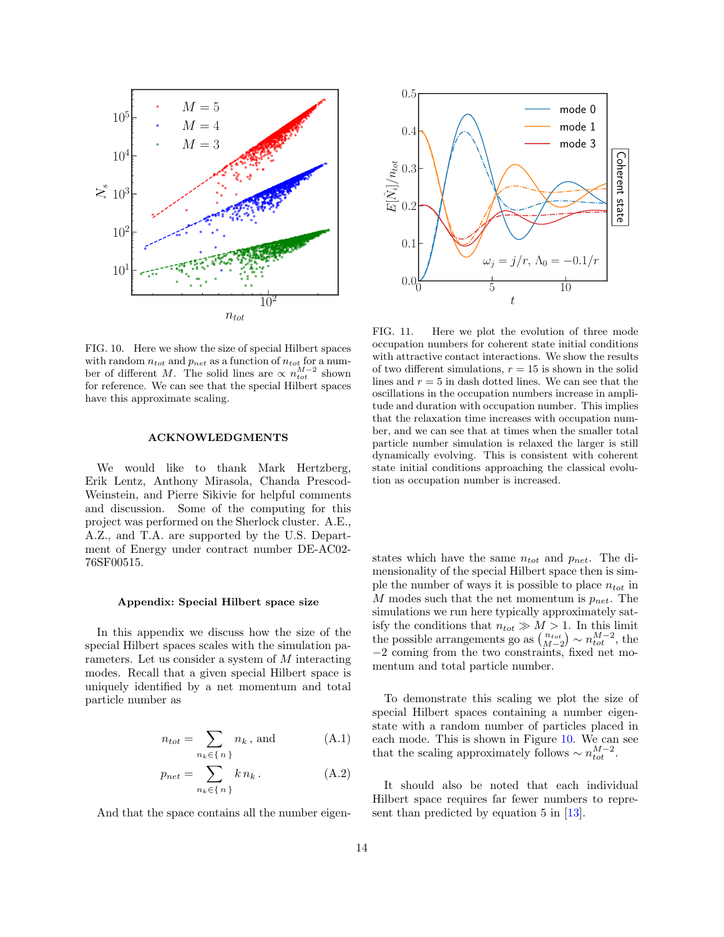

<span id="page-13-0"></span>FIG. 10. Here we show the size of special Hilbert spaces with random  $n_{tot}$  and  $p_{net}$  as a function of  $n_{tot}$  for a number of different M. The solid lines are  $\propto n_{tot}^{M-2}$  shown for reference. We can see that the special Hilbert spaces have this approximate scaling.

# ACKNOWLEDGMENTS

We would like to thank Mark Hertzberg, Erik Lentz, Anthony Mirasola, Chanda Prescod-Weinstein, and Pierre Sikivie for helpful comments and discussion. Some of the computing for this project was performed on the Sherlock cluster. A.E., A.Z., and T.A. are supported by the U.S. Department of Energy under contract number DE-AC02- 76SF00515.

### Appendix: Special Hilbert space size

In this appendix we discuss how the size of the special Hilbert spaces scales with the simulation parameters. Let us consider a system of M interacting modes. Recall that a given special Hilbert space is uniquely identified by a net momentum and total particle number as

$$
n_{tot} = \sum_{n_k \in \{n\}} n_k
$$
, and (A.1)

$$
p_{net} = \sum_{n_k \in \{n\}} k n_k. \tag{A.2}
$$

And that the space contains all the number eigen-



<span id="page-13-1"></span>FIG. 11. Here we plot the evolution of three mode occupation numbers for coherent state initial conditions with attractive contact interactions. We show the results of two different simulations,  $r = 15$  is shown in the solid lines and  $r = 5$  in dash dotted lines. We can see that the oscillations in the occupation numbers increase in amplitude and duration with occupation number. This implies that the relaxation time increases with occupation number, and we can see that at times when the smaller total particle number simulation is relaxed the larger is still dynamically evolving. This is consistent with coherent state initial conditions approaching the classical evolution as occupation number is increased.

states which have the same  $n_{tot}$  and  $p_{net}$ . The dimensionality of the special Hilbert space then is simple the number of ways it is possible to place  $n_{tot}$  in M modes such that the net momentum is  $p_{net}$ . The simulations we run here typically approximately satisfy the conditions that  $n_{tot} \gg M > 1$ . In this limit the possible arrangements go as  $\binom{n_{tot}}{M-2} \sim n_{tot}^{M-2}$ , the −2 coming from the two constraints, fixed net momentum and total particle number.

To demonstrate this scaling we plot the size of special Hilbert spaces containing a number eigenstate with a random number of particles placed in each mode. This is shown in Figure [10.](#page-13-0) We can see that the scaling approximately follows  $\sim n_{tot}^{M-2}$ .

It should also be noted that each individual Hilbert space requires far fewer numbers to represent than predicted by equation 5 in [\[13\]](#page-14-9).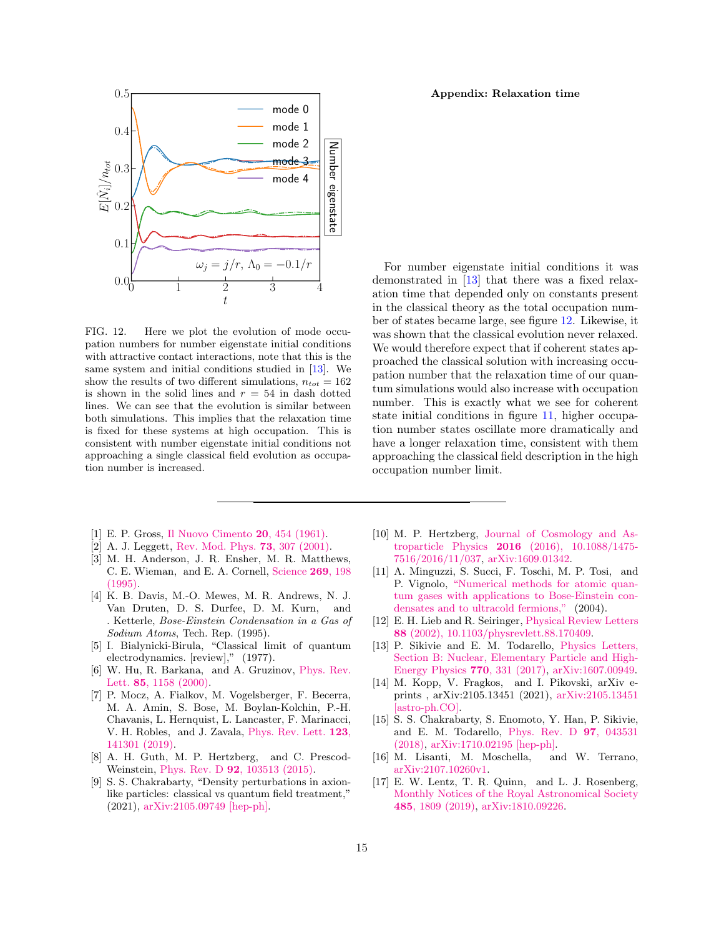

<span id="page-14-12"></span>FIG. 12. Here we plot the evolution of mode occupation numbers for number eigenstate initial conditions with attractive contact interactions, note that this is the same system and initial conditions studied in [\[13\]](#page-14-9). We show the results of two different simulations,  $n_{tot} = 162$ is shown in the solid lines and  $r = 54$  in dash dotted lines. We can see that the evolution is similar between both simulations. This implies that the relaxation time is fixed for these systems at high occupation. This is consistent with number eigenstate initial conditions not approaching a single classical field evolution as occupation number is increased.

For number eigenstate initial conditions it was demonstrated in [\[13\]](#page-14-9) that there was a fixed relaxation time that depended only on constants present in the classical theory as the total occupation number of states became large, see figure [12.](#page-14-12) Likewise, it was shown that the classical evolution never relaxed. We would therefore expect that if coherent states approached the classical solution with increasing occupation number that the relaxation time of our quantum simulations would also increase with occupation number. This is exactly what we see for coherent state initial conditions in figure [11,](#page-13-1) higher occupation number states oscillate more dramatically and have a longer relaxation time, consistent with them approaching the classical field description in the high occupation number limit.

- <span id="page-14-0"></span>[1] E. P. Gross, [Il Nuovo Cimento](http://dx.doi.org/10.1007/BF02731494) 20, 454 (1961).
- <span id="page-14-5"></span>[2] A. J. Leggett, [Rev. Mod. Phys.](http://dx.doi.org/10.1103/RevModPhys.73.307) 73, 307 (2001).
- [3] M. H. Anderson, J. R. Ensher, M. R. Matthews, C. E. Wieman, and E. A. Cornell, [Science](http://dx.doi.org/10.1126/science.269.5221.198) 269, 198  $(1995)$ .
- <span id="page-14-1"></span>[4] K. B. Davis, M.-O. Mewes, M. R. Andrews, N. J. Van Druten, D. S. Durfee, D. M. Kurn, and . Ketterle, Bose-Einstein Condensation in a Gas of Sodium Atoms, Tech. Rep. (1995).
- <span id="page-14-2"></span>[5] I. Bialynicki-Birula, "Classical limit of quantum electrodynamics. [review]," (1977).
- <span id="page-14-3"></span>[6] W. Hu, R. Barkana, and A. Gruzinov, [Phys. Rev.](http://dx.doi.org/10.1103/PhysRevLett.85.1158) Lett. 85[, 1158 \(2000\).](http://dx.doi.org/10.1103/PhysRevLett.85.1158)
- [7] P. Mocz, A. Fialkov, M. Vogelsberger, F. Becerra, M. A. Amin, S. Bose, M. Boylan-Kolchin, P.-H. Chavanis, L. Hernquist, L. Lancaster, F. Marinacci, V. H. Robles, and J. Zavala, [Phys. Rev. Lett.](http://dx.doi.org/ 10.1103/PhysRevLett.123.141301) 123, [141301 \(2019\).](http://dx.doi.org/ 10.1103/PhysRevLett.123.141301)
- <span id="page-14-6"></span>[8] A. H. Guth, M. P. Hertzberg, and C. Prescod-Weinstein, Phys. Rev. D 92[, 103513 \(2015\).](http://dx.doi.org/10.1103/PhysRevD.92.103513)
- <span id="page-14-4"></span>[9] S. S. Chakrabarty, "Density perturbations in axionlike particles: classical vs quantum field treatment," (2021), [arXiv:2105.09749 \[hep-ph\].](http://arxiv.org/abs/2105.09749)
- <span id="page-14-7"></span>[10] M. P. Hertzberg, [Journal of Cosmology and As](http://dx.doi.org/10.1088/1475-7516/2016/11/037)troparticle Physics 2016 [\(2016\), 10.1088/1475-](http://dx.doi.org/10.1088/1475-7516/2016/11/037) [7516/2016/11/037,](http://dx.doi.org/10.1088/1475-7516/2016/11/037) [arXiv:1609.01342.](http://arxiv.org/abs/1609.01342)
- [11] A. Minguzzi, S. Succi, F. Toschi, M. P. Tosi, and P. Vignolo, ["Numerical methods for atomic quan](http://dx.doi.org/ 10.1016/j.physrep.2004.02.001)[tum gases with applications to Bose-Einstein con](http://dx.doi.org/ 10.1016/j.physrep.2004.02.001)[densates and to ultracold fermions,"](http://dx.doi.org/ 10.1016/j.physrep.2004.02.001) (2004).
- <span id="page-14-8"></span>[12] E. H. Lieb and R. Seiringer, [Physical Review Letters](http://dx.doi.org/10.1103/physrevlett.88.170409) 88 [\(2002\), 10.1103/physrevlett.88.170409.](http://dx.doi.org/10.1103/physrevlett.88.170409)
- <span id="page-14-9"></span>[13] P. Sikivie and E. M. Todarello, [Physics Letters,](http://dx.doi.org/10.1016/j.physletb.2017.04.069) [Section B: Nuclear, Elementary Particle and High-](http://dx.doi.org/10.1016/j.physletb.2017.04.069)[Energy Physics](http://dx.doi.org/10.1016/j.physletb.2017.04.069) 770, 331 (2017), [arXiv:1607.00949.](http://arxiv.org/abs/1607.00949)
- <span id="page-14-10"></span>[14] M. Kopp, V. Fragkos, and I. Pikovski, arXiv eprints , arXiv:2105.13451 (2021), [arXiv:2105.13451](http://arxiv.org/abs/2105.13451) [\[astro-ph.CO\].](http://arxiv.org/abs/2105.13451)
- <span id="page-14-11"></span>[15] S. S. Chakrabarty, S. Enomoto, Y. Han, P. Sikivie, and E. M. Todarello, [Phys. Rev. D](http://dx.doi.org/10.1103/PhysRevD.97.043531) 97, 043531 [\(2018\),](http://dx.doi.org/10.1103/PhysRevD.97.043531) [arXiv:1710.02195 \[hep-ph\].](http://arxiv.org/abs/1710.02195)
- [16] M. Lisanti, M. Moschella, and W. Terrano, [arXiv:2107.10260v1.](http://arxiv.org/abs/2107.10260v1)
- [17] E. W. Lentz, T. R. Quinn, and L. J. Rosenberg, [Monthly Notices of the Royal Astronomical Society](http://dx.doi.org/10.1093/mnras/stz488) 485[, 1809 \(2019\),](http://dx.doi.org/10.1093/mnras/stz488) [arXiv:1810.09226.](http://arxiv.org/abs/1810.09226)